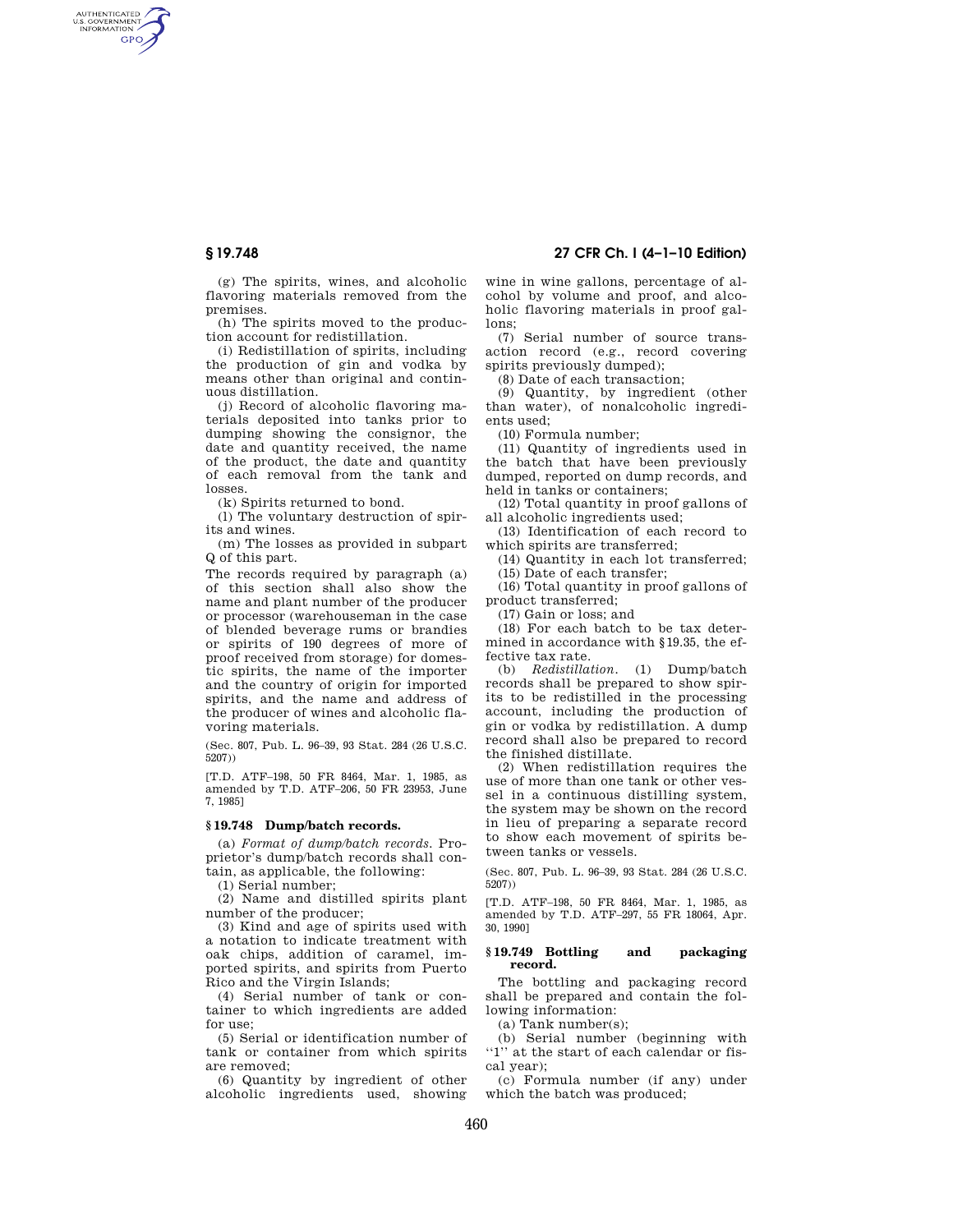AUTHENTICATED<br>U.S. GOVERNMENT<br>INFORMATION **GPO** 

**§ 19.748 27 CFR Ch. I (4–1–10 Edition)** 

(g) The spirits, wines, and alcoholic flavoring materials removed from the premises.

(h) The spirits moved to the production account for redistillation.

(i) Redistillation of spirits, including the production of gin and vodka by means other than original and continuous distillation.

(j) Record of alcoholic flavoring materials deposited into tanks prior to dumping showing the consignor, the date and quantity received, the name of the product, the date and quantity of each removal from the tank and losses.

(k) Spirits returned to bond.

(l) The voluntary destruction of spirits and wines.

(m) The losses as provided in subpart Q of this part.

The records required by paragraph (a) of this section shall also show the name and plant number of the producer or processor (warehouseman in the case of blended beverage rums or brandies or spirits of 190 degrees of more of proof received from storage) for domestic spirits, the name of the importer and the country of origin for imported spirits, and the name and address of the producer of wines and alcoholic flavoring materials.

(Sec. 807, Pub. L. 96–39, 93 Stat. 284 (26 U.S.C. 5207))

[T.D. ATF–198, 50 FR 8464, Mar. 1, 1985, as amended by T.D. ATF–206, 50 FR 23953, June 7, 1985]

## **§ 19.748 Dump/batch records.**

(a) *Format of dump/batch records.* Proprietor's dump/batch records shall contain, as applicable, the following:

(1) Serial number;

(2) Name and distilled spirits plant number of the producer;

(3) Kind and age of spirits used with a notation to indicate treatment with oak chips, addition of caramel, imported spirits, and spirits from Puerto Rico and the Virgin Islands;

(4) Serial number of tank or container to which ingredients are added for use;

(5) Serial or identification number of tank or container from which spirits are removed;

(6) Quantity by ingredient of other alcoholic ingredients used, showing

wine in wine gallons, percentage of alcohol by volume and proof, and alcoholic flavoring materials in proof gallons;

(7) Serial number of source transaction record (e.g., record covering spirits previously dumped);

(8) Date of each transaction;

(9) Quantity, by ingredient (other than water), of nonalcoholic ingredients used;

(10) Formula number;

(11) Quantity of ingredients used in the batch that have been previously dumped, reported on dump records, and held in tanks or containers;

(12) Total quantity in proof gallons of all alcoholic ingredients used;

(13) Identification of each record to which spirits are transferred;

(14) Quantity in each lot transferred; (15) Date of each transfer;

(16) Total quantity in proof gallons of product transferred;

(17) Gain or loss; and

(18) For each batch to be tax determined in accordance with §19.35, the effective tax rate.

(b) *Redistillation.* (1) Dump/batch records shall be prepared to show spirits to be redistilled in the processing account, including the production of gin or vodka by redistillation. A dump record shall also be prepared to record the finished distillate.

(2) When redistillation requires the use of more than one tank or other vessel in a continuous distilling system, the system may be shown on the record in lieu of preparing a separate record to show each movement of spirits between tanks or vessels.

(Sec. 807, Pub. L. 96–39, 93 Stat. 284 (26 U.S.C. 5207))

[T.D. ATF–198, 50 FR 8464, Mar. 1, 1985, as amended by T.D. ATF–297, 55 FR 18064, Apr. 30, 1990]

## **§ 19.749 Bottling and packaging record.**

The bottling and packaging record shall be prepared and contain the following information:

(a) Tank number(s);

(b) Serial number (beginning with ''1'' at the start of each calendar or fiscal year);

(c) Formula number (if any) under which the batch was produced;